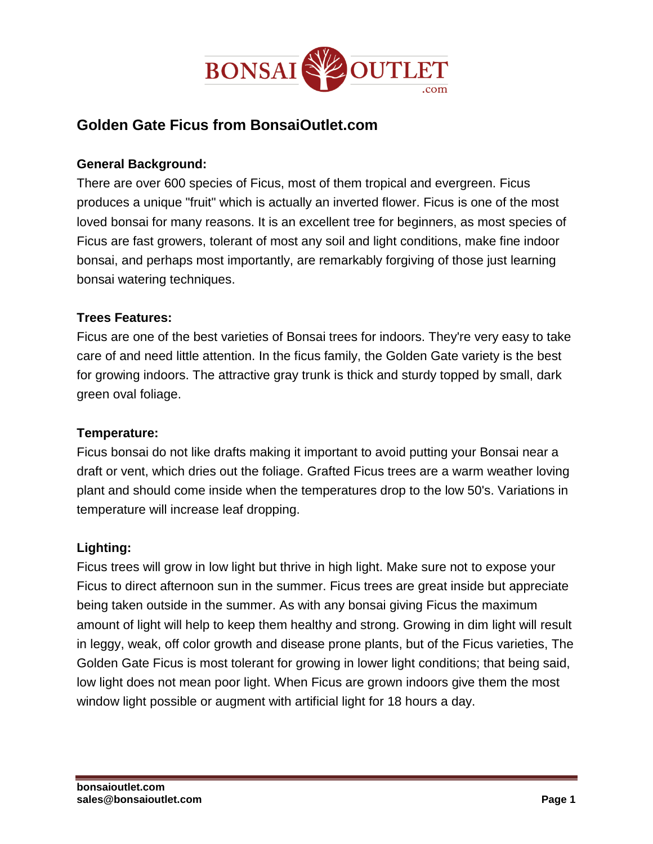

# **Golden Gate Ficus from BonsaiOutlet.com**

### **General Background:**

There are over 600 species of Ficus, most of them tropical and evergreen. Ficus produces a unique "fruit" which is actually an inverted flower. Ficus is one of the most loved bonsai for many reasons. It is an excellent tree for beginners, as most species of Ficus are fast growers, tolerant of most any soil and light conditions, make fine indoor bonsai, and perhaps most importantly, are remarkably forgiving of those just learning bonsai watering techniques.

### **Trees Features:**

Ficus are one of the best varieties of Bonsai trees for indoors. They're very easy to take care of and need little attention. In the ficus family, the Golden Gate variety is the best for growing indoors. The attractive gray trunk is thick and sturdy topped by small, dark green oval foliage.

### **Temperature:**

Ficus bonsai do not like drafts making it important to avoid putting your Bonsai near a draft or vent, which dries out the foliage. Grafted Ficus trees are a warm weather loving plant and should come inside when the temperatures drop to the low 50's. Variations in temperature will increase leaf dropping.

### **Lighting:**

Ficus trees will grow in low light but thrive in high light. Make sure not to expose your Ficus to direct afternoon sun in the summer. Ficus trees are great inside but appreciate being taken outside in the summer. As with any bonsai giving Ficus the maximum amount of light will help to keep them healthy and strong. Growing in dim light will result in leggy, weak, off color growth and disease prone plants, but of the Ficus varieties, The Golden Gate Ficus is most tolerant for growing in lower light conditions; that being said, low light does not mean poor light. When Ficus are grown indoors give them the most window light possible or augment with artificial light for 18 hours a day.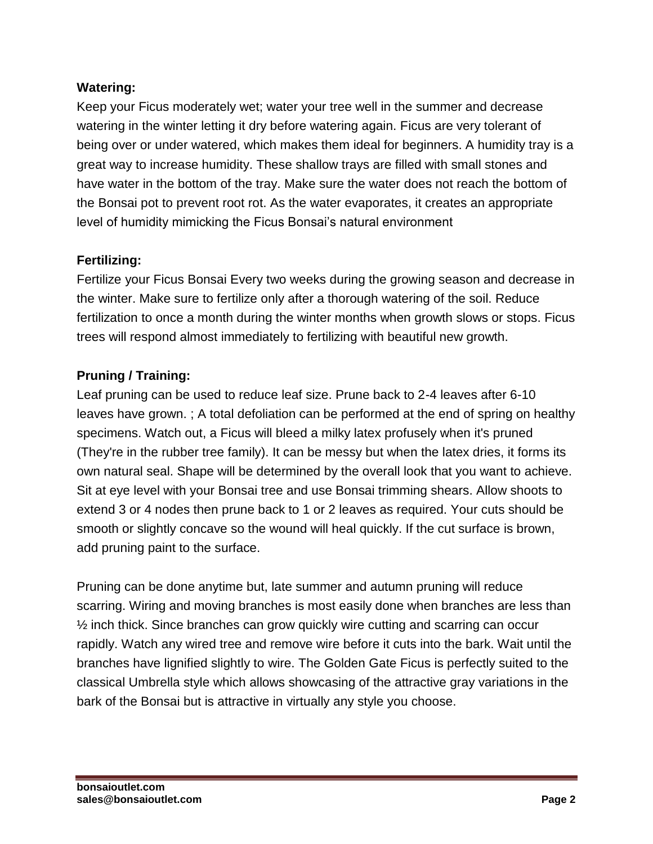## **Watering:**

Keep your Ficus moderately wet; water your tree well in the summer and decrease watering in the winter letting it dry before watering again. Ficus are very tolerant of being over or under watered, which makes them ideal for beginners. A humidity tray is a great way to increase humidity. These shallow trays are filled with small stones and have water in the bottom of the tray. Make sure the water does not reach the bottom of the Bonsai pot to prevent root rot. As the water evaporates, it creates an appropriate level of humidity mimicking the Ficus Bonsai's natural environment

# **Fertilizing:**

Fertilize your Ficus Bonsai Every two weeks during the growing season and decrease in the winter. Make sure to fertilize only after a thorough watering of the soil. Reduce fertilization to once a month during the winter months when growth slows or stops. Ficus trees will respond almost immediately to fertilizing with beautiful new growth.

# **Pruning / Training:**

Leaf pruning can be used to reduce leaf size. Prune back to 2-4 leaves after 6-10 leaves have grown. ; A total defoliation can be performed at the end of spring on healthy specimens. Watch out, a Ficus will bleed a milky latex profusely when it's pruned (They're in the rubber tree family). It can be messy but when the latex dries, it forms its own natural seal. Shape will be determined by the overall look that you want to achieve. Sit at eye level with your Bonsai tree and use Bonsai trimming shears. Allow shoots to extend 3 or 4 nodes then prune back to 1 or 2 leaves as required. Your cuts should be smooth or slightly concave so the wound will heal quickly. If the cut surface is brown, add pruning paint to the surface.

Pruning can be done anytime but, late summer and autumn pruning will reduce scarring. Wiring and moving branches is most easily done when branches are less than ½ inch thick. Since branches can grow quickly wire cutting and scarring can occur rapidly. Watch any wired tree and remove wire before it cuts into the bark. Wait until the branches have lignified slightly to wire. The Golden Gate Ficus is perfectly suited to the classical Umbrella style which allows showcasing of the attractive gray variations in the bark of the Bonsai but is attractive in virtually any style you choose.